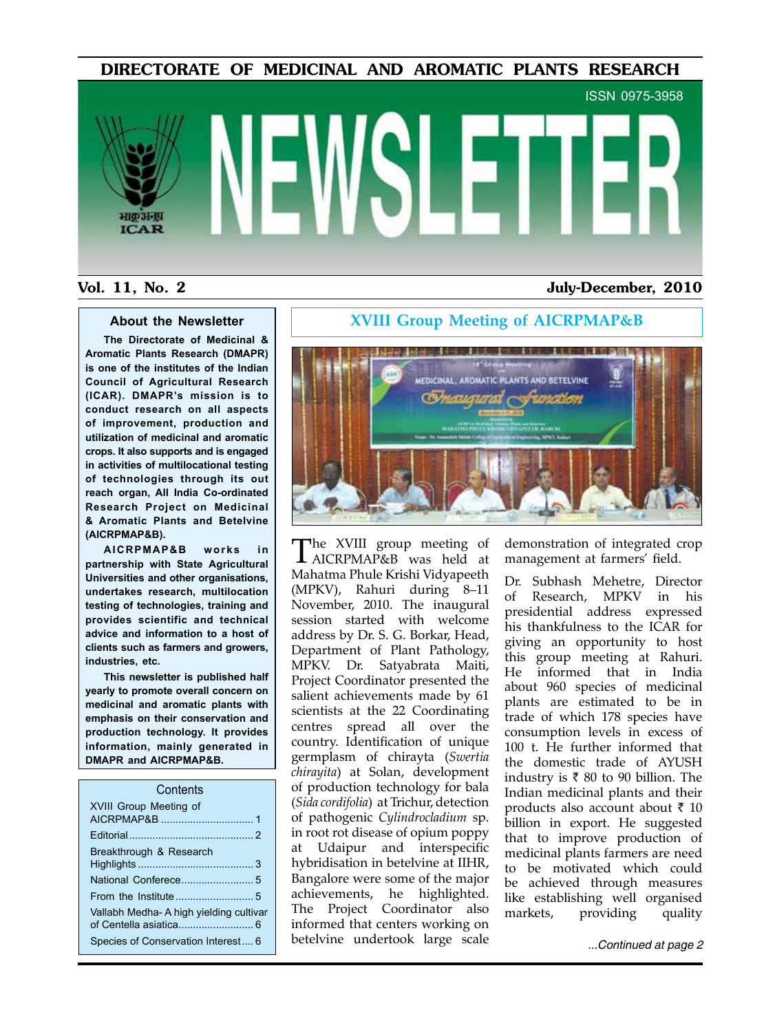DIRECTORATE OF MEDICINAL AND AROMATIC PLANTS RESEARCH

# ISSN 0975-3958 भाक अना **ICAR**

#### Vol. 11, No. 2 July-December, 2010

#### **About the Newsletter**

**The Directorate of Medicinal & Aromatic Plants Research (DMAPR) is one of the institutes of the Indian Council of Agricultural Research (ICAR). DMAPR's mission is to conduct research on all aspects of improvement, production and utilization of medicinal and aromatic crops. It also supports and is engaged in activities of multilocational testing of technologies through its out reach organ, All India Co-ordinated Research Project on Medicinal & Aromatic Plants and Betelvine (AICRPMAP&B).**

**AICRPMAP&B works in partnership with State Agricultural Universities and other organisations, undertakes research, multilocation testing of technologies, training and provides scientific and technical advice and information to a host of clients such as farmers and growers, industries, etc.**

**This newsletter is published half yearly to promote overall concern on medicinal and aromatic plants with emphasis on their conservation and production technology. It provides information, mainly generated in DMAPR and AICRPMAP&B.**

#### **Contents**

| XVIII Group Meeting of                 |  |
|----------------------------------------|--|
|                                        |  |
| Breakthrough & Research                |  |
|                                        |  |
|                                        |  |
| Vallabh Medha-A high yielding cultivar |  |
| Species of Conservation Interest 6     |  |



Species of Conservation Interest.... <sup>6</sup> *...Continued at page 2* betelvine undertook large scale The XVIII group meeting of AICRPMAP&B was held at Mahatma Phule Krishi Vidyapeeth (MPKV), Rahuri during 8–11 November, 2010. The inaugural session started with welcome address by Dr. S. G. Borkar, Head, Department of Plant Pathology, MPKV. Dr. Satyabrata Maiti, Project Coordinator presented the salient achievements made by 61 scientists at the 22 Coordinating centres spread all over the country. Identification of unique germplasm of chirayta (*Swertia chirayita*) at Solan, development of production technology for bala (*Sida cordifolia*) at Trichur, detection of pathogenic *Cylindrocladium* sp. in root rot disease of opium poppy at Udaipur and interspecific hybridisation in betelvine at IIHR, Bangalore were some of the major achievements, he highlighted. The Project Coordinator also informed that centers working on

demonstration of integrated crop management at farmers' field.

Dr. Subhash Mehetre, Director of Research, MPKV in his presidential address expressed his thankfulness to the ICAR for giving an opportunity to host this group meeting at Rahuri. He informed that in India about 960 species of medicinal plants are estimated to be in trade of which 178 species have consumption levels in excess of 100 t. He further informed that the domestic trade of AYUSH industry is  $\bar{\tau}$  80 to 90 billion. The Indian medicinal plants and their products also account about  $\bar{\tau}$  10 billion in export. He suggested that to improve production of medicinal plants farmers are need to be motivated which could be achieved through measures like establishing well organised markets, providing quality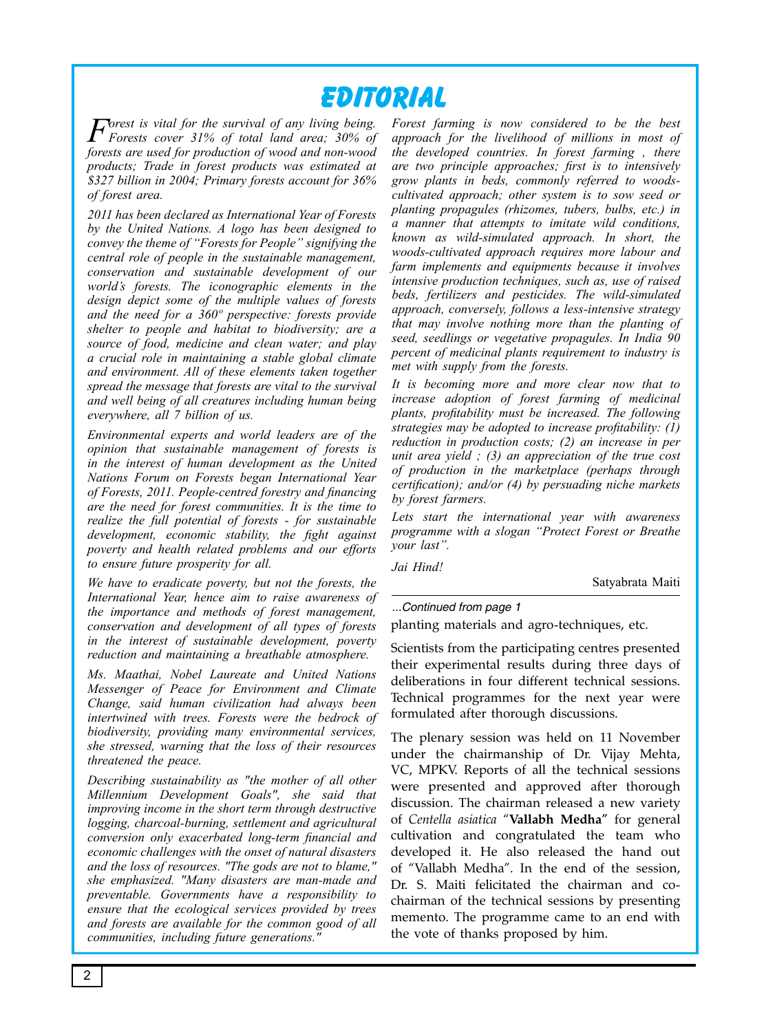## **Editorial**

*Forest is vital for the survival of any living being. Forests cover 31% of total land area; 30% of forests are used for production of wood and non-wood products; Trade in forest products was estimated at \$327 billion in 2004; Primary forests account for 36% of forest area.*

*2011 has been declared as International Year of Forests by the United Nations. A logo has been designed to convey the theme of "Forests for People" signifying the central role of people in the sustainable management, conservation and sustainable development of our world's forests. The iconographic elements in the design depict some of the multiple values of forests and the need for a 360º perspective: forests provide shelter to people and habitat to biodiversity; are a source of food, medicine and clean water; and play a crucial role in maintaining a stable global climate and environment. All of these elements taken together spread the message that forests are vital to the survival and well being of all creatures including human being everywhere, all 7 billion of us.*

*Environmental experts and world leaders are of the opinion that sustainable management of forests is in the interest of human development as the United Nations Forum on Forests began International Year of Forests, 2011. People-centred forestry and financing are the need for forest communities. It is the time to realize the full potential of forests - for sustainable development, economic stability, the fight against poverty and health related problems and our efforts to ensure future prosperity for all.* 

*We have to eradicate poverty, but not the forests, the International Year, hence aim to raise awareness of the importance and methods of forest management, conservation and development of all types of forests in the interest of sustainable development, poverty reduction and maintaining a breathable atmosphere.*

*Ms. Maathai, Nobel Laureate and United Nations Messenger of Peace for Environment and Climate Change, said human civilization had always been intertwined with trees. Forests were the bedrock of biodiversity, providing many environmental services, she stressed, warning that the loss of their resources threatened the peace.*

*Describing sustainability as "the mother of all other Millennium Development Goals", she said that improving income in the short term through destructive logging, charcoal-burning, settlement and agricultural conversion only exacerbated long-term financial and economic challenges with the onset of natural disasters and the loss of resources. "The gods are not to blame," she emphasized. "Many disasters are man-made and preventable. Governments have a responsibility to ensure that the ecological services provided by trees and forests are available for the common good of all communities, including future generations."*

*Forest farming is now considered to be the best approach for the livelihood of millions in most of the developed countries. In forest farming , there are two principle approaches; first is to intensively grow plants in beds, commonly referred to woodscultivated approach; other system is to sow seed or planting propagules (rhizomes, tubers, bulbs, etc.) in a manner that attempts to imitate wild conditions, known as wild-simulated approach. In short, the woods-cultivated approach requires more labour and farm implements and equipments because it involves intensive production techniques, such as, use of raised beds, fertilizers and pesticides. The wild-simulated approach, conversely, follows a less-intensive strategy that may involve nothing more than the planting of seed, seedlings or vegetative propagules. In India 90 percent of medicinal plants requirement to industry is met with supply from the forests.* 

*It is becoming more and more clear now that to increase adoption of forest farming of medicinal plants, profitability must be increased. The following strategies may be adopted to increase profitability: (1) reduction in production costs; (2) an increase in per unit area yield ; (3) an appreciation of the true cost of production in the marketplace (perhaps through certification); and/or (4) by persuading niche markets by forest farmers.* 

*Lets start the international year with awareness programme with a slogan "Protect Forest or Breathe your last".*

*Jai Hind!*

Satyabrata Maiti

#### *...Continued from page 1*

planting materials and agro-techniques, etc.

Scientists from the participating centres presented their experimental results during three days of deliberations in four different technical sessions. Technical programmes for the next year were formulated after thorough discussions.

The plenary session was held on 11 November under the chairmanship of Dr. Vijay Mehta, VC, MPKV. Reports of all the technical sessions were presented and approved after thorough discussion. The chairman released a new variety of *Centella asiatica* "**Vallabh Medha"** for general cultivation and congratulated the team who developed it. He also released the hand out of "Vallabh Medha". In the end of the session, Dr. S. Maiti felicitated the chairman and cochairman of the technical sessions by presenting memento. The programme came to an end with the vote of thanks proposed by him.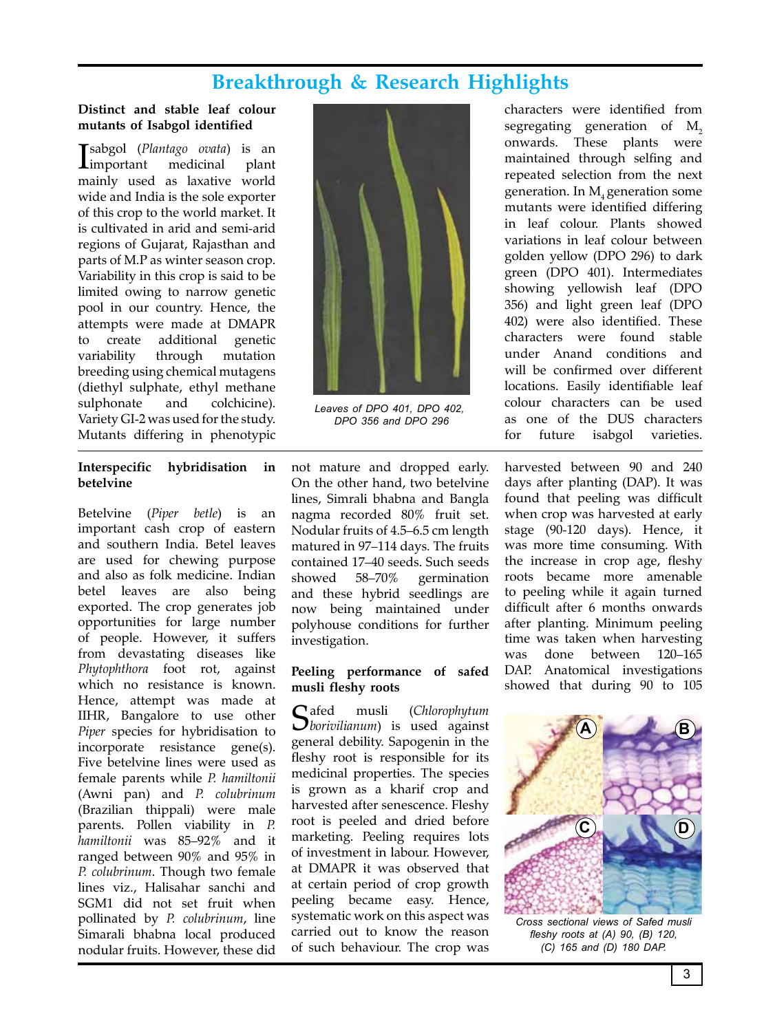## **Breakthrough & Research Highlights**

#### **Distinct and stable leaf colour mutants of Isabgol identified**

**I**sabgol (Plantago ovata) is an important medicinal plant sabgol (*Plantago ovata*) is an mainly used as laxative world wide and India is the sole exporter of this crop to the world market. It is cultivated in arid and semi-arid regions of Gujarat, Rajasthan and parts of M.P as winter season crop. Variability in this crop is said to be limited owing to narrow genetic pool in our country. Hence, the attempts were made at DMAPR to create additional genetic variability through mutation breeding using chemical mutagens (diethyl sulphate, ethyl methane sulphonate and colchicine). Variety GI-2 was used for the study. Mutants differing in phenotypic

#### **Interspecific hybridisation in betelvine**

Betelvine (*Piper betle*) is an important cash crop of eastern and southern India. Betel leaves are used for chewing purpose and also as folk medicine. Indian betel leaves are also being exported. The crop generates job opportunities for large number of people. However, it suffers from devastating diseases like *Phytophthora* foot rot, against which no resistance is known. Hence, attempt was made at IIHR, Bangalore to use other *Piper* species for hybridisation to incorporate resistance gene(s). Five betelvine lines were used as female parents while *P. hamiltonii* (Awni pan) and *P. colubrinum* (Brazilian thippali) were male parents. Pollen viability in *P. hamiltonii* was 85–92% and it ranged between 90% and 95% in *P. colubrinum*. Though two female lines viz., Halisahar sanchi and SGM1 did not set fruit when pollinated by *P. colubrinum*, line Simarali bhabna local produced nodular fruits. However, these did



*Leaves of DPO 401, DPO 402, DPO 356 and DPO 296*

not mature and dropped early. On the other hand, two betelvine lines, Simrali bhabna and Bangla nagma recorded 80% fruit set. Nodular fruits of 4.5–6.5 cm length matured in 97–114 days. The fruits contained 17–40 seeds. Such seeds showed 58–70% germination and these hybrid seedlings are now being maintained under polyhouse conditions for further investigation.

#### **Peeling performance of safed musli fleshy roots**

Safed musli (*Chlorophytum borivilianum*) is used against general debility. Sapogenin in the fleshy root is responsible for its medicinal properties. The species is grown as a kharif crop and harvested after senescence. Fleshy root is peeled and dried before marketing. Peeling requires lots of investment in labour. However, at DMAPR it was observed that at certain period of crop growth peeling became easy. Hence, systematic work on this aspect was carried out to know the reason of such behaviour. The crop was

characters were identified from segregating generation of M<sub>2</sub> onwards. These plants were maintained through selfing and repeated selection from the next generation. In M<sub>4</sub> generation some mutants were identified differing in leaf colour. Plants showed variations in leaf colour between golden yellow (DPO 296) to dark green (DPO 401). Intermediates showing yellowish leaf (DPO 356) and light green leaf (DPO 402) were also identified. These characters were found stable under Anand conditions and will be confirmed over different locations. Easily identifiable leaf colour characters can be used as one of the DUS characters for future isabgol varieties.

harvested between 90 and 240 days after planting (DAP). It was found that peeling was difficult when crop was harvested at early stage (90-120 days). Hence, it was more time consuming. With the increase in crop age, fleshy roots became more amenable to peeling while it again turned difficult after 6 months onwards after planting. Minimum peeling time was taken when harvesting was done between 120–165 DAP. Anatomical investigations showed that during 90 to 105



*Cross sectional views of Safed musli fleshy roots at (A) 90, (B) 120, (C) 165 and (D) 180 DAP.*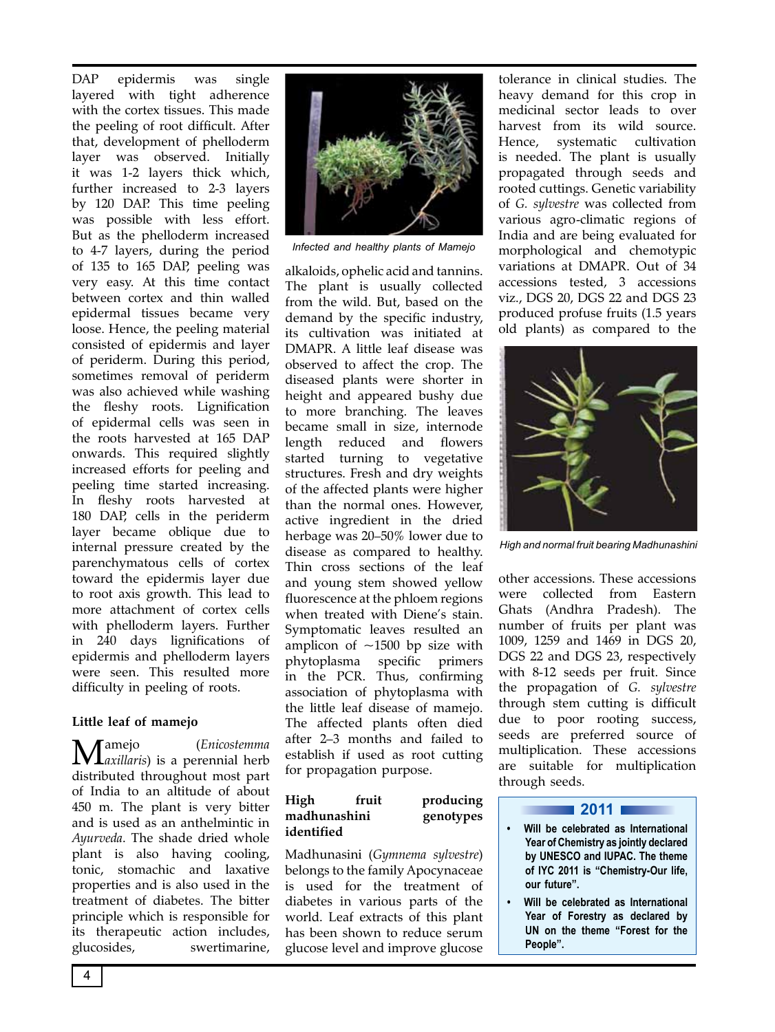DAP epidermis was single layered with tight adherence with the cortex tissues. This made the peeling of root difficult. After that, development of phelloderm layer was observed. Initially it was 1-2 layers thick which, further increased to 2-3 layers by 120 DAP. This time peeling was possible with less effort. But as the phelloderm increased to 4-7 layers, during the period of 135 to 165 DAP, peeling was very easy. At this time contact between cortex and thin walled epidermal tissues became very loose. Hence, the peeling material consisted of epidermis and layer of periderm. During this period, sometimes removal of periderm was also achieved while washing the fleshy roots. Lignification of epidermal cells was seen in the roots harvested at 165 DAP onwards. This required slightly increased efforts for peeling and peeling time started increasing. In fleshy roots harvested at 180 DAP, cells in the periderm layer became oblique due to internal pressure created by the parenchymatous cells of cortex toward the epidermis layer due to root axis growth. This lead to more attachment of cortex cells with phelloderm layers. Further in 240 days lignifications of epidermis and phelloderm layers were seen. This resulted more difficulty in peeling of roots.

#### **Little leaf of mamejo**

Mamejo (*Enicostemma axillaris*) is a perennial herb distributed throughout most part of India to an altitude of about 450 m. The plant is very bitter and is used as an anthelmintic in *Ayurveda*. The shade dried whole plant is also having cooling, tonic, stomachic and laxative properties and is also used in the treatment of diabetes. The bitter principle which is responsible for its therapeutic action includes, glucosides, swertimarine,



*Infected and healthy plants of Mamejo*

alkaloids, ophelic acid and tannins. The plant is usually collected from the wild. But, based on the demand by the specific industry, its cultivation was initiated at DMAPR. A little leaf disease was observed to affect the crop. The diseased plants were shorter in height and appeared bushy due to more branching. The leaves became small in size, internode length reduced and flowers started turning to vegetative structures. Fresh and dry weights of the affected plants were higher than the normal ones. However, active ingredient in the dried herbage was 20–50% lower due to disease as compared to healthy. Thin cross sections of the leaf and young stem showed yellow fluorescence at the phloem regions when treated with Diene's stain. Symptomatic leaves resulted an amplicon of  $~1500$  bp size with phytoplasma specific primers in the PCR. Thus, confirming association of phytoplasma with the little leaf disease of mamejo. The affected plants often died after 2–3 months and failed to establish if used as root cutting for propagation purpose.

| High         | fruit | producing |
|--------------|-------|-----------|
| madhunashini |       | genotypes |
| identified   |       |           |

Madhunasini (*Gymnema sylvestre*) belongs to the family Apocynaceae is used for the treatment of diabetes in various parts of the world. Leaf extracts of this plant has been shown to reduce serum glucose level and improve glucose tolerance in clinical studies. The heavy demand for this crop in medicinal sector leads to over harvest from its wild source. Hence, systematic cultivation is needed. The plant is usually propagated through seeds and rooted cuttings. Genetic variability of *G. sylvestre* was collected from various agro-climatic regions of India and are being evaluated for morphological and chemotypic variations at DMAPR. Out of 34 accessions tested, 3 accessions viz., DGS 20, DGS 22 and DGS 23 produced profuse fruits (1.5 years old plants) as compared to the



*High and normal fruit bearing Madhunashini*

other accessions. These accessions were collected from Eastern Ghats (Andhra Pradesh). The number of fruits per plant was 1009, 1259 and 1469 in DGS 20, DGS 22 and DGS 23, respectively with 8-12 seeds per fruit. Since the propagation of *G. sylvestre* through stem cutting is difficult due to poor rooting success, seeds are preferred source of multiplication. These accessions are suitable for multiplication through seeds.

#### **2011 12011 12011 12011 12011 12011 12011 12011 12011 12011 12011 12011 12011 12011 12011 12011 12011 12011 120**

- **• Will be celebrated as International Year of Chemistry as jointly declared by UNESCO and IUPAC. The theme of IYC 2011 is "Chemistry-Our life, our future".**
- **• Will be celebrated as International Year of Forestry as declared by UN on the theme "Forest for the People".**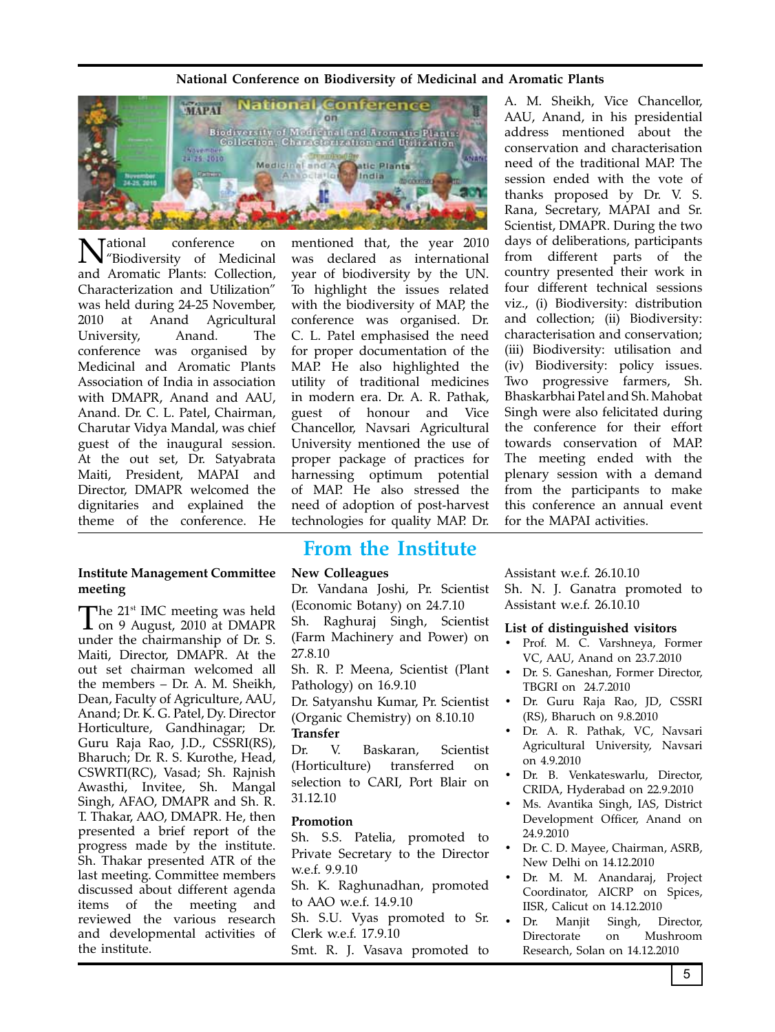#### **National Conference on Biodiversity of Medicinal and Aromatic Plants**



National conference on "Biodiversity of Medicinal and Aromatic Plants: Collection, Characterization and Utilization" was held during 24-25 November, 2010 at Anand Agricultural University, Anand. The conference was organised by Medicinal and Aromatic Plants Association of India in association with DMAPR, Anand and AAU, Anand. Dr. C. L. Patel, Chairman, Charutar Vidya Mandal, was chief guest of the inaugural session. At the out set, Dr. Satyabrata Maiti, President, MAPAI and Director, DMAPR welcomed the dignitaries and explained the theme of the conference. He

#### **Institute Management Committee meeting**

The 21<sup>st</sup> IMC meeting was held<br>
on 9 August, 2010 at DMAPR under the chairmanship of Dr. S. Maiti, Director, DMAPR. At the out set chairman welcomed all the members – Dr. A. M. Sheikh, Dean, Faculty of Agriculture, AAU, Anand; Dr. K. G. Patel, Dy. Director Horticulture, Gandhinagar; Dr. Guru Raja Rao, J.D., CSSRI(RS), Bharuch; Dr. R. S. Kurothe, Head, CSWRTI(RC), Vasad; Sh. Rajnish Awasthi, Invitee, Sh. Mangal Singh, AFAO, DMAPR and Sh. R. T. Thakar, AAO, DMAPR. He, then presented a brief report of the progress made by the institute. Sh. Thakar presented ATR of the last meeting. Committee members discussed about different agenda items of the meeting and reviewed the various research and developmental activities of the institute.

mentioned that, the year 2010 was declared as international year of biodiversity by the UN. To highlight the issues related with the biodiversity of MAP, the conference was organised. Dr. C. L. Patel emphasised the need for proper documentation of the MAP. He also highlighted the utility of traditional medicines in modern era. Dr. A. R. Pathak, guest of honour and Vice Chancellor, Navsari Agricultural University mentioned the use of proper package of practices for harnessing optimum potential of MAP. He also stressed the need of adoption of post-harvest technologies for quality MAP. Dr.

### **From the Institute**

#### **New Colleagues**

Dr. Vandana Joshi, Pr. Scientist (Economic Botany) on 24.7.10 Sh. Raghuraj Singh, Scientist

(Farm Machinery and Power) on 27.8.10

Sh. R. P. Meena, Scientist (Plant Pathology) on 16.9.10

Dr. Satyanshu Kumar, Pr. Scientist (Organic Chemistry) on 8.10.10

#### **Transfer**

Dr. V. Baskaran, Scientist (Horticulture) transferred on selection to CARI, Port Blair on 31.12.10

#### **Promotion**

Sh. S.S. Patelia, promoted to Private Secretary to the Director w.e.f. 9.9.10

Sh. K. Raghunadhan, promoted to AAO w.e.f. 14.9.10

Sh. S.U. Vyas promoted to Sr. Clerk w.e.f. 17.9.10

Smt. R. J. Vasava promoted to

A. M. Sheikh, Vice Chancellor, AAU, Anand, in his presidential address mentioned about the conservation and characterisation need of the traditional MAP. The session ended with the vote of thanks proposed by Dr. V. S. Rana, Secretary, MAPAI and Sr. Scientist, DMAPR. During the two days of deliberations, participants from different parts of the country presented their work in four different technical sessions viz., (i) Biodiversity: distribution and collection; (ii) Biodiversity: characterisation and conservation; (iii) Biodiversity: utilisation and (iv) Biodiversity: policy issues. Two progressive farmers, Sh. Bhaskarbhai Patel and Sh. Mahobat Singh were also felicitated during the conference for their effort towards conservation of MAP. The meeting ended with the plenary session with a demand from the participants to make this conference an annual event for the MAPAI activities.

Assistant w.e.f. 26.10.10

Sh. N. J. Ganatra promoted to Assistant w.e.f. 26.10.10

#### **List of distinguished visitors**

- • Prof. M. C. Varshneya, Former VC, AAU, Anand on 23.7.2010
- Dr. S. Ganeshan, Former Director, TBGRI on 24.7.2010
- • Dr. Guru Raja Rao, JD, CSSRI (RS), Bharuch on 9.8.2010
- Dr. A. R. Pathak, VC, Navsari Agricultural University, Navsari on 4.9.2010
- Dr. B. Venkateswarlu, Director, CRIDA, Hyderabad on 22.9.2010
- Ms. Avantika Singh, IAS, District Development Officer, Anand on 24.9.2010
- Dr. C. D. Mayee, Chairman, ASRB, New Delhi on 14.12.2010
- Dr. M. M. Anandaraj, Project Coordinator, AICRP on Spices, IISR, Calicut on 14.12.2010
- Dr. Manjit Singh, Director, Directorate on Mushroom Research, Solan on 14.12.2010